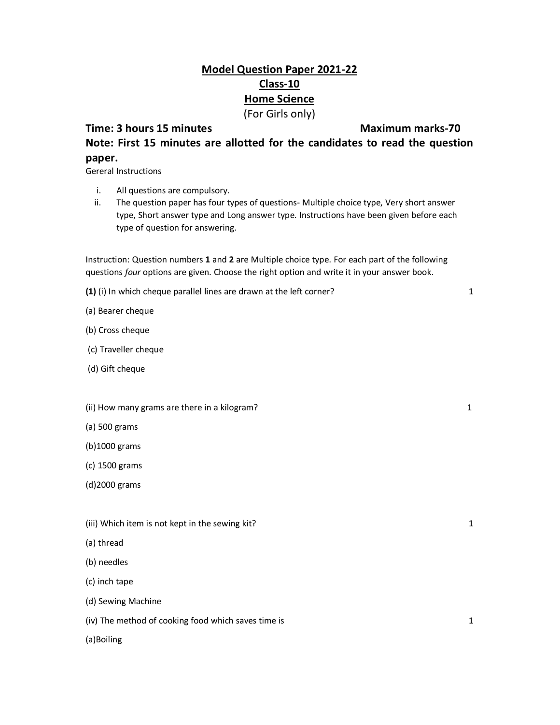## **Model Question Paper 2021-22 Class-10 Home Science**  (For Girls only)

## **Time: 3 hours 15 minutes Maximum marks-70**

**Note: First 15 minutes are allotted for the candidates to read the question paper.**

Gereral Instructions

- i. All questions are compulsory.
- ii. The question paper has four types of questions- Multiple choice type, Very short answer type, Short answer type and Long answer type. Instructions have been given before each type of question for answering.

Instruction: Question numbers **1** and **2** are Multiple choice type. For each part of the following questions *four* options are given. Choose the right option and write it in your answer book.

**(1)** (i) In which cheque parallel lines are drawn at the left corner? 1

(a) Bearer cheque

- (b) Cross cheque
- (c) Traveller cheque
- (d) Gift cheque
- (ii) How many grams are there in a kilogram? 1
- (a) 500 grams
- (b)1000 grams
- (c) 1500 grams
- (d)2000 grams
- (iii) Which item is not kept in the sewing kit? 1 and 1 and 2 and 2 and 2 and 2 and 2 and 2 and 2 and 2 and 2 and 2 and 2 and 2 and 2 and 2 and 2 and 2 and 2 and 2 and 2 and 2 and 2 and 2 and 2 and 2 and 2 and 2 and 2 and
- (a) thread
- (b) needles
- (c) inch tape
- (d) Sewing Machine
- (iv) The method of cooking food which saves time is 1

(a)Boiling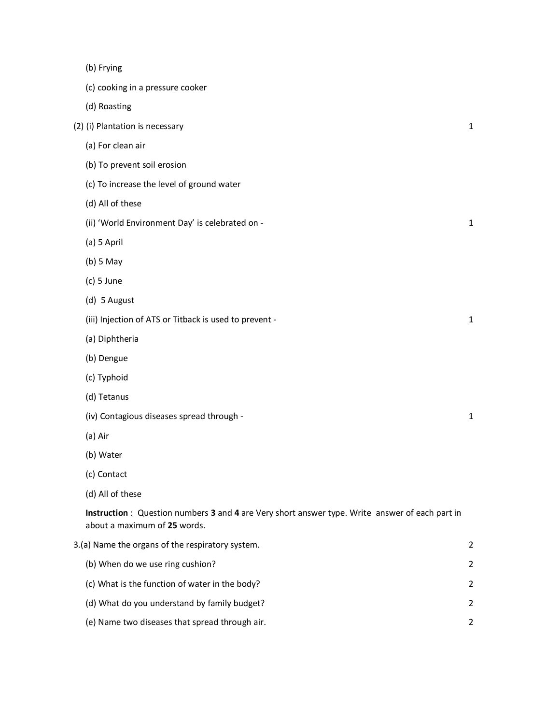| (b) Frying |
|------------|
|            |

- (c) cooking in a pressure cooker
- (d) Roasting

| (2) (i) Plantation is necessary |  |
|---------------------------------|--|
| (a) For clean air               |  |

- (b) To prevent soil erosion
- (c) To increase the level of ground water
- (d) All of these
- (ii) 'World Environment Day' is celebrated on 1
- (a) 5 April
- (b) 5 May
- (c) 5 June
- (d) 5 August
- (iii) Injection of ATS or Titback is used to prevent 1
- (a) Diphtheria
- (b) Dengue
- (c) Typhoid
- (d) Tetanus
- (iv) Contagious diseases spread through 1
- (a) Air
- (b) Water
- (c) Contact
- (d) All of these

**Instruction** : Question numbers **3** and **4** are Very short answer type. Write answer of each part in about a maximum of **25** words.

| 3.(a) Name the organs of the respiratory system. |                                                |               |
|--------------------------------------------------|------------------------------------------------|---------------|
|                                                  | (b) When do we use ring cushion?               | $\mathcal{L}$ |
|                                                  | (c) What is the function of water in the body? | $\mathcal{P}$ |
|                                                  | (d) What do you understand by family budget?   | $\mathcal{L}$ |
|                                                  | (e) Name two diseases that spread through air. | 2             |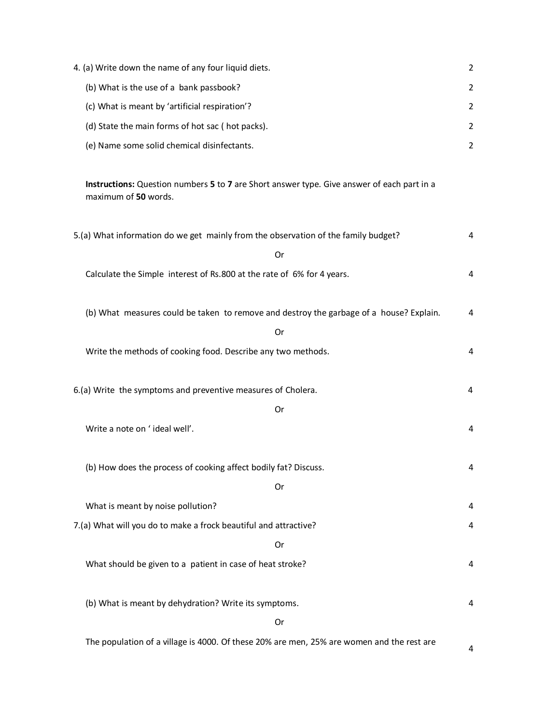| 4. (a) Write down the name of any four liquid diets.                                                               | 2              |
|--------------------------------------------------------------------------------------------------------------------|----------------|
| (b) What is the use of a bank passbook?                                                                            | $\overline{2}$ |
| (c) What is meant by 'artificial respiration'?                                                                     | $\overline{2}$ |
| (d) State the main forms of hot sac (hot packs).                                                                   | $\overline{2}$ |
| (e) Name some solid chemical disinfectants.                                                                        | $\overline{2}$ |
|                                                                                                                    |                |
| Instructions: Question numbers 5 to 7 are Short answer type. Give answer of each part in a<br>maximum of 50 words. |                |
| 5.(a) What information do we get mainly from the observation of the family budget?                                 | 4              |
| Or                                                                                                                 |                |
| Calculate the Simple interest of Rs.800 at the rate of 6% for 4 years.                                             | 4              |
|                                                                                                                    |                |
| (b) What measures could be taken to remove and destroy the garbage of a house? Explain.                            | 4              |
| Or                                                                                                                 |                |
| Write the methods of cooking food. Describe any two methods.                                                       | 4              |
|                                                                                                                    |                |
| 6.(a) Write the symptoms and preventive measures of Cholera.                                                       | 4              |
| Or                                                                                                                 |                |
| Write a note on 'ideal well'.                                                                                      | 4              |
| (b) How does the process of cooking affect bodily fat? Discuss.                                                    | 4              |
| Or                                                                                                                 |                |
| What is meant by noise pollution?                                                                                  | 4              |
| 7.(a) What will you do to make a frock beautiful and attractive?                                                   | 4              |
| Or                                                                                                                 |                |
| What should be given to a patient in case of heat stroke?                                                          | 4              |
|                                                                                                                    |                |
| (b) What is meant by dehydration? Write its symptoms.                                                              | 4              |
| Or                                                                                                                 |                |
| The population of a village is 4000. Of these 20% are men, 25% are women and the rest are                          | 4              |